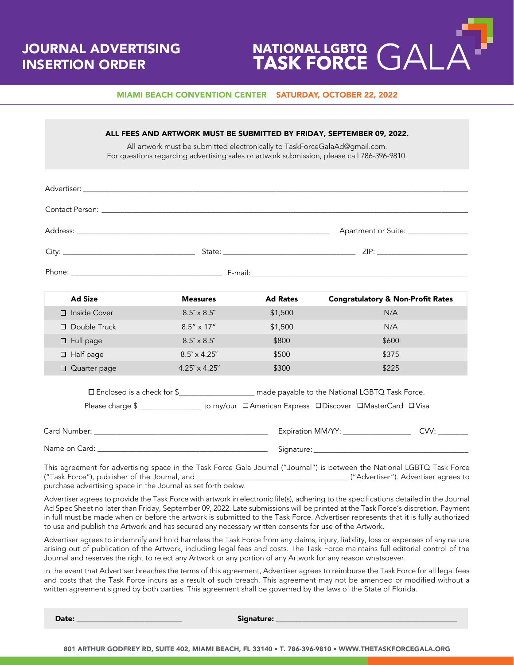# JOURNAL ADVERTISING INSERTION ORDER



#### MIAMI BEACH CONVENTION CENTER SATURDAY, OCTOBER 22, 2022

| Advertiser: the contract of the contract of the contract of the contract of the contract of the contract of the contract of the contract of the contract of the contract of the contract of the contract of the contract of th |                        |                 |                                                                                                                          |
|--------------------------------------------------------------------------------------------------------------------------------------------------------------------------------------------------------------------------------|------------------------|-----------------|--------------------------------------------------------------------------------------------------------------------------|
| Contact Person: <b>Example 2018</b>                                                                                                                                                                                            |                        |                 |                                                                                                                          |
|                                                                                                                                                                                                                                |                        |                 |                                                                                                                          |
|                                                                                                                                                                                                                                |                        |                 |                                                                                                                          |
|                                                                                                                                                                                                                                |                        |                 |                                                                                                                          |
| <b>Ad Size</b>                                                                                                                                                                                                                 | <b>Measures</b>        | <b>Ad Rates</b> | <b>Congratulatory &amp; Non-Profit Rates</b>                                                                             |
| □ Inside Cover                                                                                                                                                                                                                 | $8.5'' \times 8.5''$   | \$1,500         | N/A                                                                                                                      |
| $\Box$ Double Truck                                                                                                                                                                                                            | $8.5'' \times 17''$    | \$1,500         | N/A                                                                                                                      |
| $\square$ Full page                                                                                                                                                                                                            | $8.5'' \times 8.5''$   | \$800           | \$600                                                                                                                    |
| $\Box$ Half page                                                                                                                                                                                                               | $8.5'' \times 4.25''$  | \$500           | \$375                                                                                                                    |
| □ Quarter page                                                                                                                                                                                                                 | $4.25'' \times 4.25''$ | \$300           | \$225                                                                                                                    |
|                                                                                                                                                                                                                                |                        |                 | □ Enclosed is a check for \$<br><u> Lettic manually</u> made payable to the National LGBTQ Task Force.                   |
|                                                                                                                                                                                                                                |                        |                 | Please charge \$__________________ to my/our DAmerican Express DDiscover DMasterCard DVisa                               |
|                                                                                                                                                                                                                                |                        |                 |                                                                                                                          |
|                                                                                                                                                                                                                                |                        |                 |                                                                                                                          |
| purchase advertising space in the Journal as set forth below.                                                                                                                                                                  |                        |                 | This agreement for advertising space in the Task Force Gala Journal ("Journal") is between the National LGBTQ Task Force |

Journal and reserves the right to reject any Artwork or any portion of any Artwork for any reason whatsoever. In the event that Advertiser breaches the terms of this agreement, Advertiser agrees to reimburse the Task Force for all legal fees and costs that the Task Force incurs as a result of such breach. This agreement may not be amended or modified without a

arising out of publication of the Artwork, including legal fees and costs. The Task Force maintains full editorial control of the

Date: \_\_\_\_\_\_\_\_\_\_\_\_\_\_\_\_\_\_\_\_\_\_\_\_\_\_\_\_ Signature: \_\_\_\_\_\_\_\_\_\_\_\_\_\_\_\_\_\_\_\_\_\_\_\_\_\_\_\_\_\_\_\_\_\_\_\_\_\_\_\_\_\_\_\_\_\_\_\_

written agreement signed by both parties. This agreement shall be governed by the laws of the State of Florida.